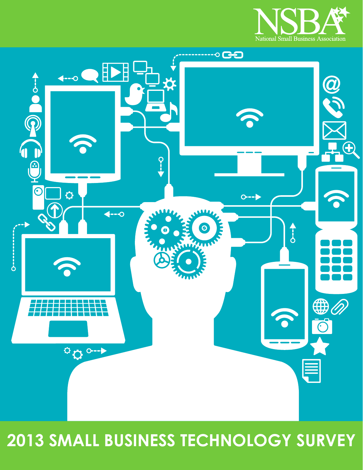



# **2013 SMALL BUSINESS TECHNOLOGY SURVEY**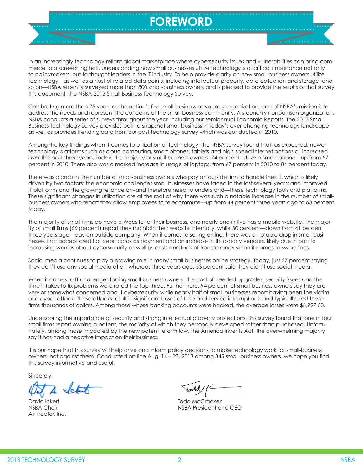# **FOREWORD**

In an increasingly technology-reliant global marketplace where cybersecurity issues and vulnerabilities can bring commerce to a screeching halt, understanding how small businesses utilize technology is of critical importance not only to policymakers, but to thought leaders in the IT industry. To help provide clarity on how small-business owners utilize technology—as well as a host of related data points, including intellectual property, data collection and storage, and so on—NSBA recently surveyed more than 800 small-business owners and is pleased to provide the results of that survey this document, the NSBA 2013 Small Business Technology Survey.

Celebrating more than 75 years as the nation's first small-business advocacy organization, part of NSBA's mission is to address the needs and represent the concerns of the small-business community. A staunchly nonpartisan organization, NSBA conducts a series of surveys throughout the year, including our semiannual Economic Reports. The 2013 Small Business Technology Survey provides both a snapshot small business in today's ever-changing technology landscape, as well as provides trending data from our past technology survey which was conducted in 2010.

Among the key findings when it comes to utilization of technology, the NSBA survey found that, as expected, newer technology platforms such as cloud computing, smart phones, tablets and high-speed internet options all increased over the past three years. Today, the majority of small-business owners, 74 percent, utilize a smart phone—up from 57 percent in 2010. There also was a marked increase in usage of laptops, from 67 percent in 2010 to 84 percent today.

There was a drop in the number of small-business owners who pay an outside firm to handle their IT, which is likely driven by two factors: the economic challenges small businesses have faced in the last several years; and improved IT platforms and the growing reliance on–and therefore need to understand—these technology tools and platforms. These significant changes in utilization are at the root of why there was such a notable increase in the number of smallbusiness owners who report they allow employees to telecommute—up from 44 percent three years ago to 60 percent today.

The majority of small firms do have a Website for their business, and nearly one in five has a mobile website. The majority of small firms (66 percent) report they maintain their website internally, while 30 percent—down from 41 percent three years ago—pay an outside company. When it comes to selling online, there was a notable drop in small businesses that accept credit or debit cards as payment and an increase in third-party vendors, likely due in part to increasing worries about cybersecurity as well as costs and lack of transparency when it comes to swipe fees.

Social media continues to play a growing role in many small businesses online strategy. Today, just 27 percent saying they don't use any social media at all, whereas three years ago, 53 percent said they didn't use social media.

When it comes to IT challenges facing small-business owners, the cost of needed upgrades, security issues and the time it takes to fix problems were rated the top three. Furthermore, 94 percent of small-business owners say they are very or somewhat concerned about cybersecurity while nearly half of small businesses report having been the victim of a cyber-attack. These attacks result in significant losses of time and service interruptions, and typically cost these firms thousands of dollars. Among those whose banking accounts were hacked, the average losses were \$6,927.50.

Underscoring the importance of security and strong intellectual property protections, this survey found that one in four small firms report owning a patent, the majority of which they personally developed rather than purchased. Unfortunately, among those impacted by the new patent reform law, the America Invents Act, the overwhelming majority say it has had a negative impact on their business.

It is our hope that this survey will help drive and inform policy decisions to make technology work for small-business owners, not against them. Conducted on-line Aug. 14 – 23, 2013 among 845 small-business owners, we hope you find this survey informative and useful.

Sincerely,

Air Tractor, Inc.

David Ickert Todd McCracken NSBA Chair NSBA President and CEO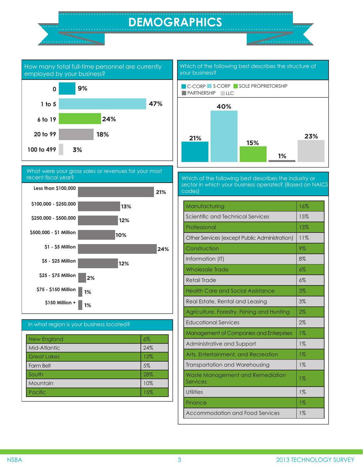# **DEMOGRAPHICS**



What were your gross sales or revenues for your most recent fiscal year?







Which of the following best describes the structure of

Which of the following best describes the industry or sector in which your business operates? (Based on NAICS codes)

| Manufacturing                                  | 16%   |
|------------------------------------------------|-------|
| Scientific and Technical Services              | 15%   |
| Professional                                   | 13%   |
| Other Services (except Public Administration)  | 11%   |
| Construction                                   | $9\%$ |
| Information (IT)                               | 8%    |
| <b>Wholesale Trade</b>                         | 6%    |
| Retail Trade                                   | $6\%$ |
| <b>Health Care and Social Assistance</b>       | 3%    |
| Real Estate, Rental and Leasing                | 3%    |
| Agriculture, Forestry, Fishing and Hunting     | 2%    |
| <b>Educational Services</b>                    | 2%    |
| <b>Management of Companies and Enterprises</b> | $1\%$ |
| Administrative and Support                     | $1\%$ |
| Arts, Entertainment, and Recreation            | $1\%$ |
| Transportation and Warehousing                 | $1\%$ |
| Waste Management and Remediation<br>Services   | $1\%$ |
| <b>Utilities</b>                               | $1\%$ |
| Finance                                        | $1\%$ |
| Accommodation and Food Services                | $1\%$ |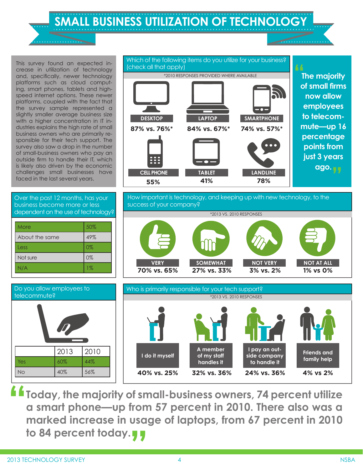**SMALL BUSINESS UTILIZATION OF TECHNOLOGY**

This survey found an expected increase in utilization of technology and, specifically, newer technology platforms such as cloud computing, smart phones, tablets and highspeed internet options. These newer platforms, coupled with the fact that the survey sample represented a slightly smaller average business size with a higher concentration in IT industries explains the high rate of small business owners who are primarily responsible for their tech support. The survey also saw a drop in the number of small-business owners who pay an outside firm to handle their IT, which is likely also driven by the economic challenges small businesses have faced in the last several years.

Over the past 12 months, has your business become more or less dependent on the use of technology?

| More           | 50%   |
|----------------|-------|
| About the same | 49%   |
| Less           | 0%    |
| Not sure       | 0%    |
| N/A            | $1\%$ |



How important is technology, and keeping up with new technology, to the success of your company?







**Today, the majority of small-business owners, 74 percent utilize a smart phone—up from 57 percent in 2010. There also was a**  marked increase in usage of laptops, from 67 percent in 2010<br>to 84 percent today.<sub>,</sub> **to 84 percent today. "**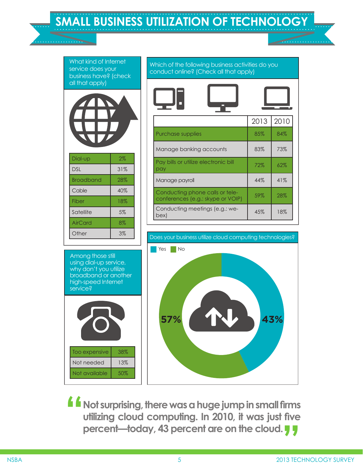Which of the following business activities do you conduct online? (Check all that apply) Does your business utilize cloud computing technologies? What kind of Internet service does your business have? (check all that apply) Among those still using dial-up service, why don't you utilize broadband or another high-speed Internet service? 2013 2010 Purchase supplies and  $\begin{array}{|c|c|c|c|c|c|} \hline 85\% & 84\% \hline \end{array}$ Manage banking accounts | 83% | 73% Pay bills or utilize electronic bill pay 72% 62% Manage payroll and the state of the 44% 41% Conducting phone calls or teleconferences (e.g.: skype or VOIP) 59% 28% Conducting meetings (e.g.: we-bex) 45% 18% Dial-up | 2% DSL 31% Broadband | 28% Cable 1 40% Fiber | 18% Satellite | 5% AirCard 8% Other 3% Too expensive | 38% Not needed | 13% **No** Yes No **57% 43%**

**SMALL BUSINESS UTILIZATION OF TECHNOLOGY**

**Not surprising, there was a huge jump in small firms utilizing cloud computing. In 2010, it was just five percent—today, 43 percent are on the cloud. " Five<br>77** 

Not available  $\vert$  50%

. . . . . . . . . . . . .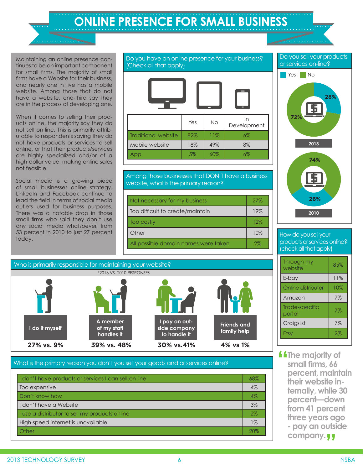Maintaining an online presence continues to be an important component for small firms. The majority of small firms have a Website for their business, and nearly one in five has a mobile website. Among those that do not have a website, one-third say they are in the process of developing one.

When it comes to selling their products online, the majority say they do not sell on-line. This is primarily attributable to respondents saying they do not have products or services to sell online, or that their products/services are highly specialized and/or of a high-dollar value, making online sales not feasible.

Social media is a growing piece of small businesses online strategy. LinkedIn and Facebook continue to lead the field in terms of social media outlets used for business purposes. There was a notable drop in those small firms who said they don't use any social media whatsoever, from 53 percent in 2010 to just 27 percent today.



#### Among those businesses that DON'T have a business website, what is the primary reason?

| Not necessary for my business        | 27% |
|--------------------------------------|-----|
| Too difficult to create/maintain     | 19% |
| Too costly                           | 12% |
| Other                                | 10% |
| All possible domain names were taken | 2%  |



### What is the primary reason you don't you sell your goods and or services online?

| I don't have products or services I can sell-on line | 68%   |
|------------------------------------------------------|-------|
| Too expensive                                        | 4%    |
| Don't know how                                       | $4\%$ |
| I don't have a Website                               | $3\%$ |
| I use a distributor to sell my products online       | $2\%$ |
| High-speed internet is unavailable                   | $1\%$ |
| Other                                                | 20%   |

Do you sell your products

. . . . . . . . . . . .



How do you sell your products or services online? (check all that apply)

| Through my<br>website    | 85% |
|--------------------------|-----|
| E-bay                    | 11% |
| Online distributor       | 10% |
| Amazon                   | 7%  |
| Trade-specific<br>portal | 7%  |
| Craigslist               | 7%  |
| Etsy                     | 2%  |

**f** f The majority of<br>
small firms, 66<br>
persont maints **small firms, 66 percent, maintain their website internally, while 30 percent—down from 41 percent three years ago - pay an outside**  company.<sub></sub>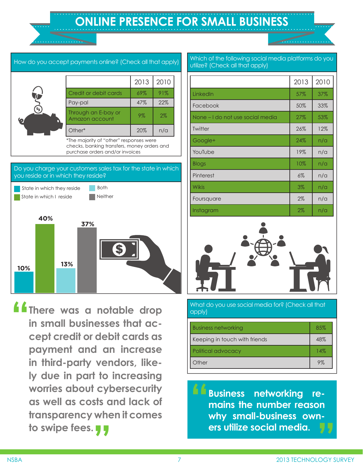# **ONLINE PRESENCE FOR SMALL BUSINESS**

### How do you accept payments online? (Check all that apply) 2013 2010 Credit or debit cards 69% 91% Pay-pal 22% Through an E-bay or nnough an E-bay or [19%] 2%<br>Amazon account 19%] 2%

\*The majority of "other" responses were checks, banking transfers, money orders and purchase orders and/or invoices

Other\* 20% n/a

### Do you charge your customers sales tax for the state in which you reside or in which they reside?



**Exercise 18 There was a notable drop**<br> **Exercise that and apply)**<br> **Exercise that and apply)**<br> **Exercise that and apply)**<br> **Exercise that are all that the property of the set of the property of the property of the propert in small businesses that accept credit or debit cards as payment and an increase in third-party vendors, likely due in part to increasing worries about cybersecurity as well as costs and lack of transparency when it comes " to swipe fees.**

Which of the following social media platforms do you utilize? (Check all that apply)

|                                  | 2013 | 2010 |
|----------------------------------|------|------|
| LinkedIn                         | 57%  | 37%  |
| Facebook                         | 50%  | 33%  |
| None – I do not use social media | 27%  | 53%  |
| Twitter                          | 26%  | 12%  |
| Google+                          | 24%  | n/a  |
| YouTube                          | 19%  | n/a  |
| <b>Blogs</b>                     | 10%  | n/a  |
| Pinterest                        | 6%   | n/a  |
| <b>Wikis</b>                     | 3%   | n/a  |
| Foursquare                       | 2%   | n/a  |
| Instagram                        | 2%   | n/a  |



| <b>Business networking</b>    | 85% |
|-------------------------------|-----|
| Keeping in touch with friends | 48% |
| Political advocacy            | 14% |
| <b>Other</b>                  | 9%  |

**Business networking remains the number reason why small-business owners utilize social media. " "**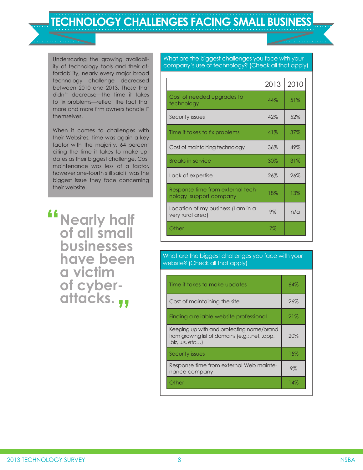**TECHNOLOGY CHALLENGES FACING SMALL BUSINESS**

Underscoring the growing availability of technology tools and their affordability, nearly every major broad technology challenge decreased between 2010 and 2013. Those that didn't decrease—the time it takes to fix problems—reflect the fact that more and more firm owners handle IT themselves.

When it comes to challenges with their Websites, time was again a key factor with the majority, 64 percent citing the time it takes to make updates as their biggest challenge. Cost maintenance was less of a factor, however one-fourth still said it was the biggest issue they face concerning their website.

**Nearly half of all small " businesses have been a victim of cyberattacks. "**

What are the biggest challenges you face with your company's use of technology? (Check all that apply)

|                                                             | 2013   | 2010 |
|-------------------------------------------------------------|--------|------|
| Cost of needed upgrades to<br>technology                    | 44%    | 51%  |
| Security issues                                             | 42%    | 52%  |
| Time it takes to fix problems                               | 41%    | 37%  |
| Cost of maintaining technology                              | 36%    | 49%  |
| <b>Breaks in service</b>                                    | $30\%$ | 31%  |
| Lack of expertise                                           | 26%    | 26%  |
| Response time from external tech-<br>nology support company | 18%    | 13%  |
| Location of my business (I am in a<br>very rural area)      | 9%     | n/a  |
| Other                                                       | 7%     |      |

What are the biggest challenges you face with your website? (Check all that apply)

| Time it takes to make updates                                                                                 | 64%   |
|---------------------------------------------------------------------------------------------------------------|-------|
| Cost of maintaining the site                                                                                  | 26%   |
| Finding a reliable website professional                                                                       | 21%   |
| Keeping up with and protecting name/brand<br>from growing list of domains (e.g.: .net, .app,<br>,biz, us, etc | 20%   |
| Security issues                                                                                               | 15%   |
| Response time from external Web mainte-<br>nance company                                                      | $9\%$ |
| Other                                                                                                         | 14%   |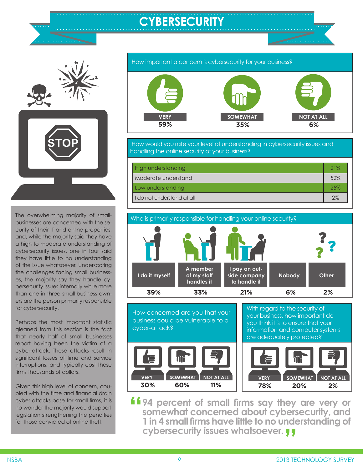# **CYBERSECURITY**



The overwhelming majority of smallbusinesses are concerned with the security of their IT and online properties, and, while the majority said they have a high to moderate understanding of cybersecurity issues, one in four said they have little to no understanding of the issue whatsoever. Underscoring the challenges facing small businesses, the majority say they handle cybersecurity issues internally while more than one in three small-business owners are the person primarily responsible for cybersecurity.

Perhaps the most important statistic gleaned from this section is the fact that nearly half of small businesses report having been the victim of a cyber-attack. These attacks result in significant losses of time and service interruptions, and typically cost these firms thousands of dollars.

Given this high level of concern, coupled with the time and financial drain cyber-attacks pose for small firms, it is no wonder the majority would support legislation strengthening the penalties for those convicted of online theft.



 How would you rate your level of understanding in cybersecurity issues and handling the online security of your business?

| High understanding           | 21% |
|------------------------------|-----|
| Moderate understand          | 52% |
| Low understanding            | 25% |
| I I do not understand at all | 2%  |



With regard to the security of your business, how important do you think it is to ensure that your information and computer systems

How concerned are you that your business could be vulnerable to a cyber-attack?



**194 percent of small firms say they are very or<br>
somewhat concerned about cybersecurity, and<br>
1 in 4 small firms have little to no understanding of somewhat concerned about cybersecurity, and 1 in 4 small firms have little to no understanding of cybersecurity issues whatsoever. "**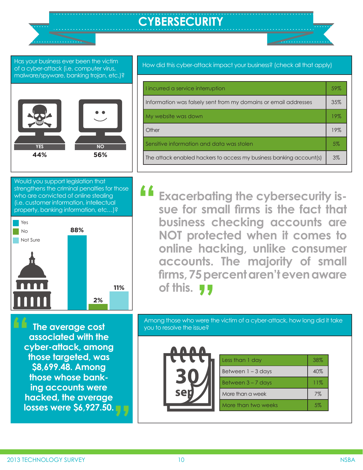# **CYBERSECURITY**

Has your business ever been the victim of a cyber-attack (i.e. computer virus, malware/spyware, banking trojan, etc.)?



Would you support legislation that strengthens the criminal penalties for those who are convicted of online stealing (i.e. customer information, intellectual property, banking information, etc…)?



**The average cost associated with the cyber-attack, among those targeted, was \$8,699.48. Among those whose banking accounts were hacked, the average losses were \$6,927.50. " "** How did this cyber-attack impact your business? (check all that apply)

| I incurred a service interruption                                   | 59% |
|---------------------------------------------------------------------|-----|
| Information was falsely sent from my domains or email addresses     | 35% |
| My website was down                                                 | 19% |
| Other                                                               | 19% |
| Sensitive information and data was stolen                           | 5%  |
| The attack enabled hackers to access my business banking account(s) | 3%  |
|                                                                     |     |

**Exacerbating the cybersecurity issue for small firms is the fact that business checking accounts are NOT protected when it comes to online hacking, unlike consumer accounts. The majority of small firms, 75 percent aren't even aware of this. !! "**

Among those who were the victim of a cyber-attack, how long did it take you to resolve the issue?



| Less than 1 day      | 38% |
|----------------------|-----|
| Between $1 - 3$ days | 40% |
| Between $3 - 7$ days | 11% |
| More than a week     | 7%  |
| More than two weeks  | 5%  |
|                      |     |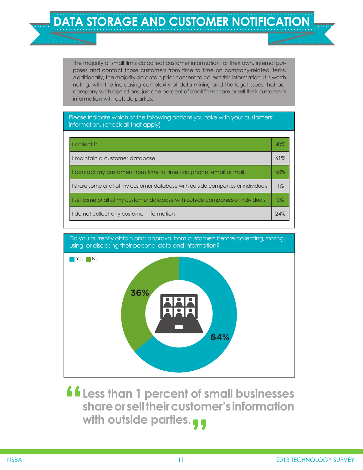The majority of small firms do collect customer information for their own, internal purposes and contact those customers from time to time on company-related items. Additionally, the majority do obtain prior consent to collect this information. It is worth noting, with the increasing complexity of data-mining and the legal issues that accompany such operations, just one percent of small firms share or sell their customer's information with outside parties.

Please indicate which of the following actions you take with your customers' information. (check all that apply)

| I collect it                                                                      | $4()$ % |
|-----------------------------------------------------------------------------------|---------|
| I maintain a customer database                                                    | 61%     |
| I contact my customers from time to time (via phone, email or mail)               | 60%     |
| I share some or all of my customer database with outside companies or individuals | $1\%$   |
| I sell some or all of my customer database with outside companies or individuals  | $0\%$   |
| I do not collect any customer information                                         | 74%     |

Do you currently obtain prior approval from customers before collecting, storing, using, or disclosing their personal data and information?



**Less than 1 percent of small businesses share or sell their customer's information " with outside parties.**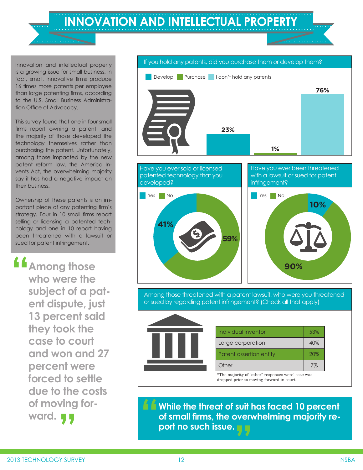**INNOVATION AND INTELLECTUAL PROPERTY**

Innovation and intellectual property is a growing issue for small business. In fact, small, innovative firms produce 16 times more patents per employee than large patenting firms, according to the U.S. Small Business Administration Office of Advocacy.

This survey found that one in four small firms report owning a patent, and the majority of those developed the technology themselves rather than purchasing the patent. Unfortunately, among those impacted by the new patent reform law, the America Invents Act, the overwhelming majority say it has had a negative impact on their business.

Ownership of these patents is an important piece of any patenting firm's strategy. Four in 10 small firms report selling or licensing a patented technology and one in 10 report having been threatened with a lawsuit or sued for patent infringement.

**Among those who were the subject of a patent dispute, just 13 percent said they took the case to court and won and 27 percent were forced to settle due to the costs of moving for-" ward. "**

 If you hold any patents, did you purchase them or develop them? Have you ever sold or licensed patented technology that you developed? Have you ever been threatened with a lawsuit or sued for patent infringement? Develop Purchase I don't hold any patents **Yes** No Yes No **23% 1% 76% 41% 59% 10% 90%** Among those threatened with a patent lawsuit, who were you threatened or sued by regarding patent infringement? (Check all that apply) Individual inventor **1** 53% Large corporation 140% Patent assertion entity **20%** Other 7% \*The majority of "other" responses were: case was dropped prior to moving forward in court.

**While the threat of suit has faced 10 percent f f** while the threat of suit has faced 10 percent of small firms, the overwhelming majority report no such issue.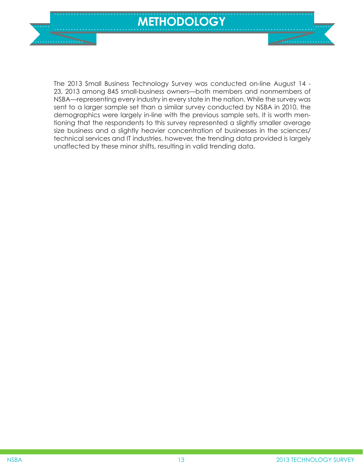

The 2013 Small Business Technology Survey was conducted on-line August 14 - 23, 2013 among 845 small-business owners—both members and nonmembers of NSBA—representing every industry in every state in the nation. While the survey was sent to a larger sample set than a similar survey conducted by NSBA in 2010, the demographics were largely in-line with the previous sample sets. It is worth mentioning that the respondents to this survey represented a slightly smaller average size business and a slightly heavier concentration of businesses in the sciences/ technical services and IT industries, however, the trending data provided is largely unaffected by these minor shifts, resulting in valid trending data.